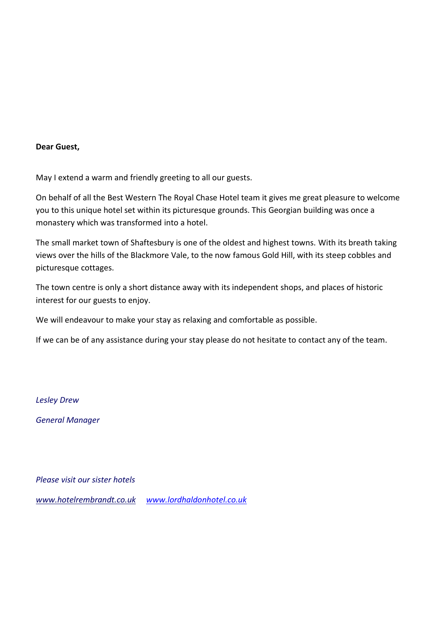#### **Dear Guest,**

May I extend a warm and friendly greeting to all our guests.

On behalf of all the Best Western The Royal Chase Hotel team it gives me great pleasure to welcome you to this unique hotel set within its picturesque grounds. This Georgian building was once a monastery which was transformed into a hotel.

The small market town of Shaftesbury is one of the oldest and highest towns. With its breath taking views over the hills of the Blackmore Vale, to the now famous Gold Hill, with its steep cobbles and picturesque cottages.

The town centre is only a short distance away with its independent shops, and places of historic interest for our guests to enjoy.

We will endeavour to make your stay as relaxing and comfortable as possible.

If we can be of any assistance during your stay please do not hesitate to contact any of the team.

*Lesley Drew*

*General Manager*

*Please visit our sister hotels*

*www.hotelrembrandt.co.uk [www.lordhaldonhotel.co.uk](http://www.lordhaldonhotel.co.uk/)*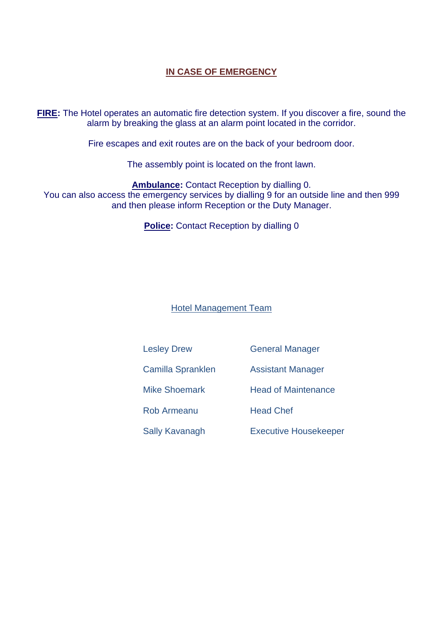# **IN CASE OF EMERGENCY**

**FIRE:** The Hotel operates an automatic fire detection system. If you discover a fire, sound the alarm by breaking the glass at an alarm point located in the corridor.

Fire escapes and exit routes are on the back of your bedroom door.

The assembly point is located on the front lawn.

**Ambulance:** Contact Reception by dialling 0. You can also access the emergency services by dialling 9 for an outside line and then 999 and then please inform Reception or the Duty Manager.

**Police:** Contact Reception by dialling 0

Hotel Management Team

Lesley Drew General Manager

Camilla Spranklen Assistant Manager

Mike Shoemark Head of Maintenance

Rob Armeanu Head Chef

Sally Kavanagh Executive Housekeeper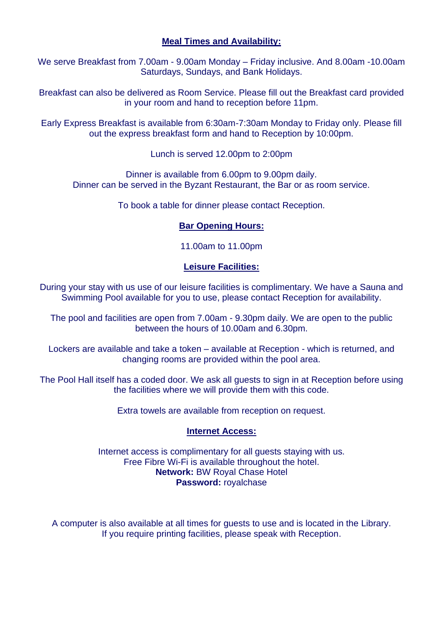# **Meal Times and Availability:**

We serve Breakfast from 7.00am - 9.00am Monday – Friday inclusive. And 8.00am -10.00am Saturdays, Sundays, and Bank Holidays.

Breakfast can also be delivered as Room Service. Please fill out the Breakfast card provided in your room and hand to reception before 11pm.

Early Express Breakfast is available from 6:30am-7:30am Monday to Friday only. Please fill out the express breakfast form and hand to Reception by 10:00pm.

Lunch is served 12.00pm to 2:00pm

Dinner is available from 6.00pm to 9.00pm daily. Dinner can be served in the Byzant Restaurant, the Bar or as room service.

To book a table for dinner please contact Reception.

#### **Bar Opening Hours:**

11.00am to 11.00pm

### **Leisure Facilities:**

During your stay with us use of our leisure facilities is complimentary. We have a Sauna and Swimming Pool available for you to use, please contact Reception for availability.

The pool and facilities are open from 7.00am - 9.30pm daily. We are open to the public between the hours of 10.00am and 6.30pm.

Lockers are available and take a token – available at Reception - which is returned, and changing rooms are provided within the pool area.

The Pool Hall itself has a coded door. We ask all guests to sign in at Reception before using the facilities where we will provide them with this code.

Extra towels are available from reception on request.

#### **Internet Access:**

Internet access is complimentary for all guests staying with us. Free Fibre Wi-Fi is available throughout the hotel. **Network:** BW Royal Chase Hotel **Password:** royalchase

A computer is also available at all times for guests to use and is located in the Library. If you require printing facilities, please speak with Reception.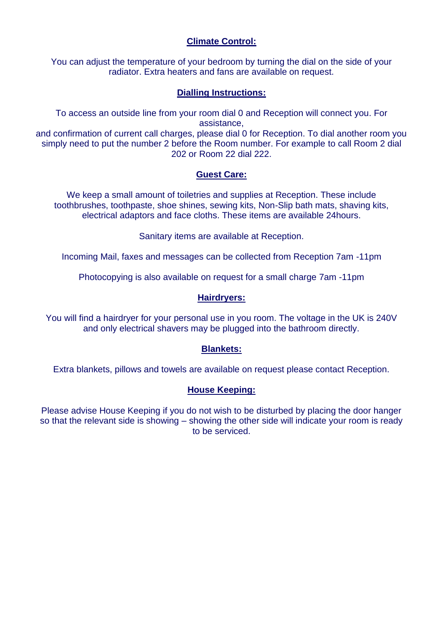# **Climate Control:**

You can adjust the temperature of your bedroom by turning the dial on the side of your radiator. Extra heaters and fans are available on request.

# **Dialling Instructions:**

To access an outside line from your room dial 0 and Reception will connect you. For assistance,

and confirmation of current call charges, please dial 0 for Reception. To dial another room you simply need to put the number 2 before the Room number. For example to call Room 2 dial 202 or Room 22 dial 222.

### **Guest Care:**

We keep a small amount of toiletries and supplies at Reception. These include toothbrushes, toothpaste, shoe shines, sewing kits, Non-Slip bath mats, shaving kits, electrical adaptors and face cloths. These items are available 24hours.

Sanitary items are available at Reception.

Incoming Mail, faxes and messages can be collected from Reception 7am -11pm

Photocopying is also available on request for a small charge 7am -11pm

## **Hairdryers:**

You will find a hairdryer for your personal use in you room. The voltage in the UK is 240V and only electrical shavers may be plugged into the bathroom directly.

### **Blankets:**

Extra blankets, pillows and towels are available on request please contact Reception.

### **House Keeping:**

Please advise House Keeping if you do not wish to be disturbed by placing the door hanger so that the relevant side is showing – showing the other side will indicate your room is ready to be serviced.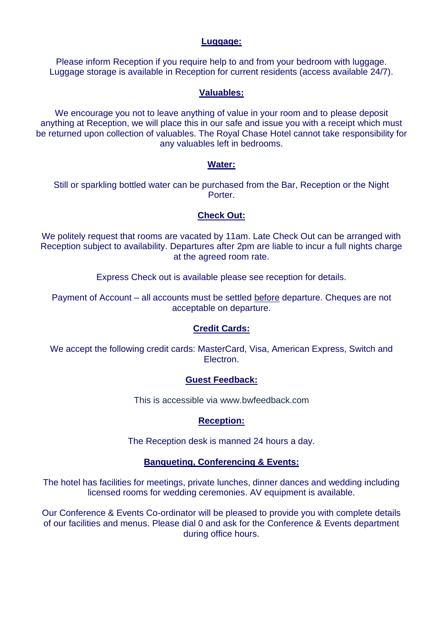## **Luggage:**

Please inform Reception if you require help to and from your bedroom with luggage. Luggage storage is available in Reception for current residents (access available 24/7).

### **Valuables:**

We encourage you not to leave anything of value in your room and to please deposit anything at Reception, we will place this in our safe and issue you with a receipt which must be returned upon collection of valuables. The Royal Chase Hotel cannot take responsibility for any valuables left in bedrooms.

### **Water:**

Still or sparkling bottled water can be purchased from the Bar, Reception or the Night Porter.

## **Check Out:**

We politely request that rooms are vacated by 11am. Late Check Out can be arranged with Reception subject to availability. Departures after 2pm are liable to incur a full nights charge at the agreed room rate.

Express Check out is available please see reception for details.

Payment of Account – all accounts must be settled before departure. Cheques are not acceptable on departure.

### **Credit Cards:**

We accept the following credit cards: MasterCard, Visa, American Express, Switch and Electron.

### **Guest Feedback:**

This is accessible via www.bwfeedback.com

# **Reception:**

The Reception desk is manned 24 hours a day.

### **Banqueting, Conferencing & Events:**

The hotel has facilities for meetings, private lunches, dinner dances and wedding including licensed rooms for wedding ceremonies. AV equipment is available.

Our Conference & Events Co-ordinator will be pleased to provide you with complete details of our facilities and menus. Please dial 0 and ask for the Conference & Events department during office hours.